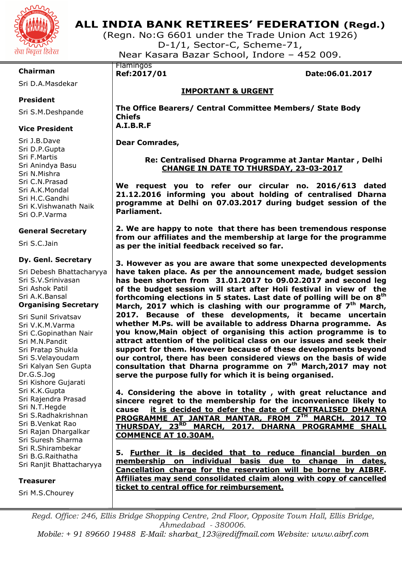

# **ALL INDIA BANK RETIREES' FEDERATION (Regd.)**

(Regn. No:G 6601 under the Trade Union Act 1926) D-1/1, Sector-C, Scheme-71, Near Kasara Bazar School, Indore – 452 009.

# **Chairman**

Sri D.A.Masdekar

# **President**

Sri S.M.Deshpande

# **Vice President**

Sri J.B.Dave Sri D.P.Gupta Sri F.Martis Sri Anindya Basu Sri N.Mishra Sri C.N.Prasad Sri A.K.Mondal Sri H.C.Gandhi Sri K.Vishwanath Naik Sri O.P.Varma

# **General Secretary**

Sri S.C.Jain

# **Dy. Genl. Secretary**

Sri Debesh Bhattacharyya Sri S.V.Srinivasan Sri Ashok Patil Sri A.K.Bansal **Organising Secretary** 

Sri Sunil Srivatsav Sri V.K.M.Varma Sri C.Gopinathan Nair Sri M.N.Pandit Sri Pratap Shukla Sri S.Velayoudam Sri Kalyan Sen Gupta Dr.G.S.Jog Sri Kishore Gujarati Sri K.K.Gupta Sri Rajendra Prasad Sri N.T.Hegde Sri S.Radhakrishnan Sri B.Venkat Rao Sri Rajan Dhargalkar Sri Suresh Sharma Sri R.Shirambekar Sri B.G.Raithatha Sri Ranjit Bhattacharyya

#### **Treasurer**

Sri M.S.Chourey

# Flamingos

**Ref:2017/01 Date:06.01.2017** 

# **IMPORTANT & URGENT**

**The Office Bearers/ Central Committee Members/ State Body Chiefs A.I.B.R.F** 

**Dear Comrades,** 

# **Re: Centralised Dharna Programme at Jantar Mantar , Delhi CHANGE IN DATE TO THURSDAY, 23-03-2017**

**We request you to refer our circular no. 2016/613 dated 21.12.2016 informing you about holding of centralised Dharna programme at Delhi on 07.03.2017 during budget session of the Parliament.** 

**2. We are happy to note that there has been tremendous response from our affiliates and the membership at large for the programme as per the initial feedback received so far.** 

**3. However as you are aware that some unexpected developments have taken place. As per the announcement made, budget session has been shorten from 31.01.2017 to 09.02.2017 and second leg of the budget session will start after Holi festival in view of the forthcoming elections in 5 states. Last date of polling will be on 8th March, 2017 which is clashing with our programme of 7th March, 2017. Because of these developments, it became uncertain whether M.Ps. will be available to address Dharna programme. As you know,Main object of organising this action programme is to attract attention of the political class on our issues and seek their support for them. However because of these developments beyond our control, there has been considered views on the basis of wide consultation that Dharna programme on 7th March,2017 may not serve the purpose fully for which it is being organised.** 

**4. Considering the above in totality , with great reluctance and sincere regret to the membership for the inconvenience likely to cause it is decided to defer the date of CENTRALISED DHARNA PROGRAMME AT JANTAR MANTAR, FROM 7TH MARCH, 2017 TO THURSDAY, 23RD MARCH, 2017. DHARNA PROGRAMME SHALL COMMENCE AT 10.30AM.** 

**5. Further it is decided that to reduce financial burden on membership on individual basis due to change in dates, Cancellation charge for the reservation will be borne by AIBRF. Affiliates may send consolidated claim along with copy of cancelled ticket to central office for reimbursement.** 

*Regd. Office: 246, Ellis Bridge Shopping Centre, 2nd Floor, Opposite Town Hall, Ellis Bridge, Ahmedabad - 380006. Mobile: + 91 89660 19488 E-Mail: sharbat\_123@rediffmail.com Website: www.aibrf.com*